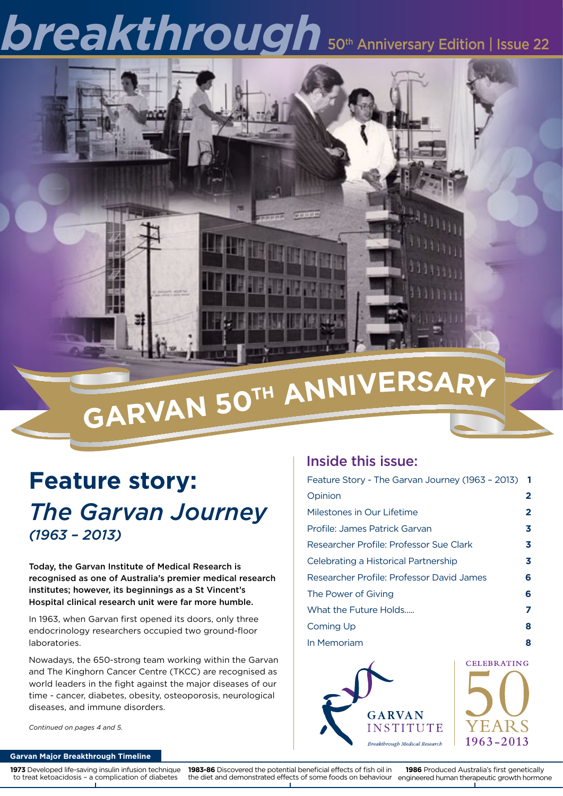# **breakthrough** 50th Anniversary Edition | Issue 22



# **<sup>g</sup>arva<sup>n</sup> <sup>5</sup>0<sup>t</sup><sup>h</sup> <sup>A</sup>nniversar<sup>y</sup>**

### **Feature story:** *The Garvan Journey (1963 – 2013)*

Today, the Garvan Institute of Medical Research is recognised as one of Australia's premier medical research institutes; however, its beginnings as a St Vincent's Hospital clinical research unit were far more humble.

In 1963, when Garvan first opened its doors, only three endocrinology researchers occupied two ground-floor laboratories.

Nowadays, the 650-strong team working within the Garvan and The Kinghorn Cancer Centre (TKCC) are recognised as world leaders in the fight against the major diseases of our time - cancer, diabetes, obesity, osteoporosis, neurological diseases, and immune disorders.

### Inside this issue:

| Feature Story - The Garvan Journey (1963 - 2013) | 1 |
|--------------------------------------------------|---|
| Opinion                                          | 2 |
| Milestones in Our Lifetime                       | 2 |
| Profile: James Patrick Garvan                    | 3 |
| Researcher Profile: Professor Sue Clark          | 3 |
| Celebrating a Historical Partnership             | 3 |
| Researcher Profile: Professor David James        | 6 |
| The Power of Giving                              | 6 |
| What the Future Holds                            | 7 |
| Coming Up                                        | 8 |
| In Memoriam                                      | 8 |





#### *Continued on pages 4 and 5.*

#### **Garvan Major Breakthrough Timeline**

**1973** Developed life-saving insulin infusion technique to treat ketoacidosis – a complication of diabetes

**1983-86** Discovered the potential beneficial effects of fish oil in

the diet and demonstrated effects of some foods on behaviour engineered human therapeutic growth hormone **1986** Produced Australia's first genetically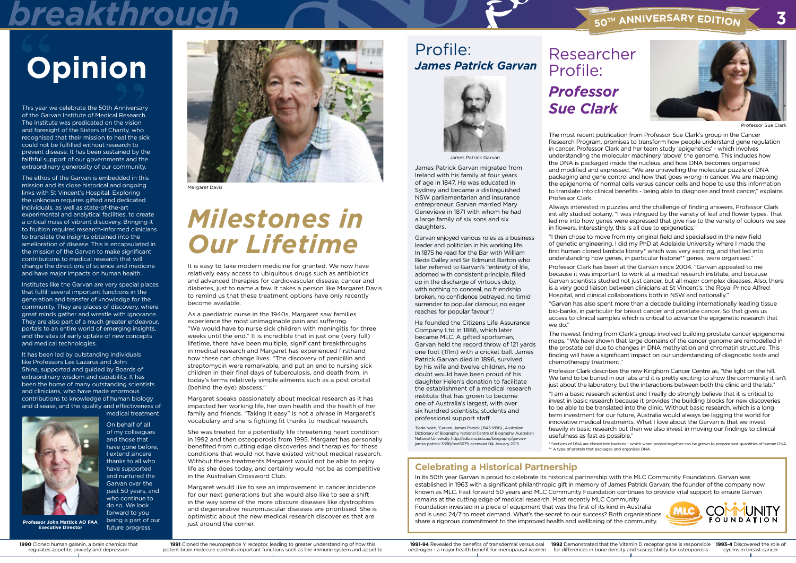This year we celebrate the 50th Anniversary of the Garvan Institute of Medical Research. The Institute was predicated on the vision and foresight of the Sisters of Charity, who recognised that their mission to heal the sick could not be fulfilled without research to prevent disease. It has been sustained by the faithful support of our governments and the extraordinary generosity of our community.

The ethos of the Garvan is embedded in this mission and its close historical and ongoing links with St Vincent's Hospital. Exploring the unknown requires gifted and dedicated individuals, as well as state-of-the-art experimental and analytical facilities, to create a critical mass of vibrant discovery. Bringing it to fruition requires research-informed clinicians to translate the insights obtained into the amelioration of disease. This is encapsulated in the mission of the Garvan to make significant contributions to medical research that will change the directions of science and medicine and have major impacts on human health.

Institutes like the Garvan are very special places that fulfill several important functions in the generation and transfer of knowledge for the community. They are places of discovery, where great minds gather and wrestle with ignorance. They are also part of a much greater endeavour, portals to an entire world of emerging insights, and the sites of early uptake of new concepts and medical technologies.

It has been led by outstanding individuals like Professors Les Lazarus and John Shine, supported and guided by Boards of extraordinary wisdom and capability. It has been the home of many outstanding scientists and clinicians, who have made enormous contributions to knowledge of human biology and disease, and the quality and effectiveness of



medical treatment.

Margaret would like to see an improvement in cancer incidence for our next generations but she would also like to see a shift in the way some of the more obscure diseases like dystrophies and degenerative neuromuscular diseases are prioritised. She is optimistic about the new medical research discoveries that are just around the corner.





# **Opinion**

**Executive Director**

### *Milestones in Our Lifetime*

It is easy to take modern medicine for granted. We now have relatively easy access to ubiquitous drugs such as antibiotics and advanced therapies for cardiovascular disease, cancer and diabetes, just to name a few. It takes a person like Margaret Davis to remind us that these treatment options have only recently become available.

As a paediatric nurse in the 1940s, Margaret saw families experience the most unimaginable pain and suffering. "We would have to nurse sick children with meningitis for three weeks until the end." It is incredible that in just one (very full) lifetime, there have been multiple, significant breakthroughs in medical research and Margaret has experienced firsthand how these can change lives. "The discovery of penicillin and streptomycin were remarkable, and put an end to nursing sick children in their final days of tuberculosis, and death from, in today's terms relatively simple ailments such as a post orbital (behind the eye) abscess."

Margaret speaks passionately about medical research as it has impacted her working life, her own health and the health of her family and friends. "Taking it easy" is not a phrase in Margaret's vocabulary and she is fighting fit thanks to medical research.

"I then chose to move from my original field and specialised in the new field of genetic engineering. I did my PhD at Adelaide University where I made the first human cloned lambda library\* which was very exciting, and that led into understanding how genes, in particular histone\*\* genes, were organised."

She was treated for a potentially life threatening heart condition in 1992 and then osteoporosis from 1995. Margaret has personally benefited from cutting edge discoveries and therapies for these conditions that would not have existed without medical research. Without these treatments Margaret would not be able to enjoy life as she does today, and certainly would not be as competitive in the Australian Crossword Club.

The newest finding from Clark's group involved building prostate cancer epigenome maps, "We have shown that large domains of the cancer genome are remodelled in the prostate cell due to changes in DNA methylation and chromatin structure. This finding will have a significant impact on our understanding of diagnostic tests and chemotherapy treatment." Professor Clark describes the new Kinghorn Cancer Centre as, "the light on the hill. We tend to be buried in our labs and it is pretty exciting to show the community it isn't just about the laboratory, but the interactions between both the clinic and the lab."

"I am a basic research scientist and I really do strongly believe that it is critical to invest in basic research because it provides the building blocks for new discoveries to be able to be translated into the clinic. Without basic research, which is a long term investment for our future, Australia would always be lagging the world for innovative medical treatments. What I love about the Garvan is that we invest heavily in basic research but then we also invest in moving our findings to clinical usefulness as fast as possible." \* Sections of DNA are cloned into bacteria – which when pooled together can be grown to prepare vast quantities of human DNA \*\* A type of protein that packages and organises DNA

James Patrick Garvan migrated from Ireland with his family at four years of age in 1847. He was educated in Sydney and became a distinguished NSW parliamentarian and insurance entrepreneur. Garvan married Mary Genevieve in 1871 with whom he had a large family of six sons and six daughters.

Garvan enjoyed various roles as a business leader and politician in his working life. In 1875 he read for the Bar with William Bede Dalley and Sir Edmund Barton who later referred to Garvan's "entirety of life, adorned with consistent principle, filled up in the discharge of virtuous duty, with nothing to conceal, no friendship broken, no confidence betrayed, no timid surrender to popular clamour, no eager reaches for popular favour".1

1991 Cloned the neuropeptide Y receptor, leading to greater understanding of how this potent brain molecule controls important functions such as the immune system and appetite He founded the Citizens Life Assurance Company Ltd in 1886, which later became MLC. A gifted sportsman, Garvan held the record throw of 121 yards one foot (111m) with a cricket ball. James Patrick Garvan died in 1896, survived by his wife and twelve children. He no doubt would have been proud of his daughter Helen's donation to facilitate the establishment of a medical research institute that has grown to become one of Australia's largest, with over six hundred scientists, students and professional support staff.

1991-94 Revealed the benefits of transdermal versus oral 1992 Demonstrated that the Vitamin D receptor gene is responsible 1993-4 Discovered the role of oestrogen - a major health benefit for menopausal women for differences in bone density and susceptibility for osteoporosis

1 Bede Nairn, 'Garvan, James Patrick (1843-1896)', Australian Dictionary of Biography, National Centre of Biography, Australian National University, http://adb.anu.edu.au/biography/garvanjames-patrick-3598/text5579, accessed 04 January 2013.

The most recent publication from Professor Sue Clark's group in the Cancer Research Program, promises to transform how people understand gene regulation in cancer. Professor Clark and her team study 'epigenetics' - which involves understanding the molecular machinery 'above' the genome. This includes how the DNA is packaged inside the nucleus, and how DNA becomes organised and modified and expressed. "We are unravelling the molecular puzzle of DNA packaging and gene control and how that goes wrong in cancer. We are mapping the epigenome of normal cells versus cancer cells and hope to use this information to translate into clinical benefits - being able to diagnose and treat cancer," explains Professor Clark.

Always interested in puzzles and the challenge of finding answers, Professor Clark initially studied botany, "I was intrigued by the variety of leaf and flower types. That led me into how genes were expressed that give rise to the variety of colours we see in flowers. Interestingly, this is all due to epigenetics."

Professor Clark has been at the Garvan since 2004. "Garvan appealed to me because it was important to work at a medical research institute, and because Garvan scientists studied not just cancer, but all major complex diseases. Also, there is a very good liaison between clinicians at St Vincent's, the Royal Prince Alfred Hospital, and clinical collaborations both in NSW and nationally."

"Garvan has also spent more than a decade building internationally leading tissue bio-banks, in particular for breast cancer and prostate cancer. So that gives us access to clinical samples which is critical to advance the epigenetic research that we do."

### **Celebrating a Historical Partnership**

In its 50th year Garvan is proud to celebrate its historical partnership with the MLC Community Foundation. Garvan was established in 1963 with a significant philanthropic gift in memory of James Patrick Garvan; the founder of the company now known as MLC. Fast forward 50 years and MLC Community Foundation continues to provide vital support to ensure Garvan remains at the cutting edge of medical research. Most recently MLC Community Foundation invested in a piece of equipment that was the first of its kind in Australia and is used 24/7 to meet demand. What's the secret to our success? Both organisations share a rigorous commitment to the improved health and wellbeing of the community.

Margaret Davis

Professor Sue Clark



cyclins in breast cancer

### Profile: *James Patrick Garvan*

Researcher Profile: *Professor Sue Clark*



### *breakthrough* **<sup>5</sup>0<sup>t</sup><sup>h</sup> <sup>A</sup>nniversar<sup>y</sup> <sup>E</sup>ditio<sup>n</sup> <sup>3</sup>**



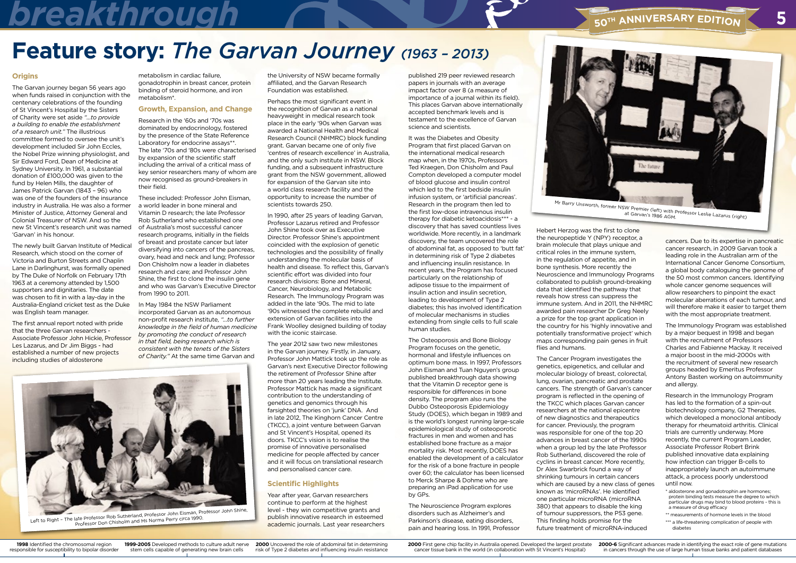### **h a** *<b>h Edi<b>h Edir<i>s***<sub>50<sup>TH</sup> ANNIVERSARY EDITION**</sub>

### **Feature story:** *The Garvan Journey (1963 – 2013)*

**1998** Identified the chromosomal region responsible for susceptibility to bipolar disorder **2000** Uncovered the role of abdominal fat in determining risk of Type 2 diabetes and influencing insulin resistance

**1999-2005** Developed methods to culture adult nerve stem cells capable of generating new brain cells



### **Origins**

The Garvan journey began 56 years ago when funds raised in conjunction with the centenary celebrations of the founding of St Vincent's Hospital by the Sisters of Charity were set aside *"...to provide a building to enable the establishment of a research unit."* The illustrious committee formed to oversee the unit's development included Sir John Eccles, the Nobel Prize winning physiologist, and Sir Edward Ford, Dean of Medicine at Sydney University. In 1961, a substantial donation of £100,000 was given to the fund by Helen Mills, the daughter of James Patrick Garvan (1843 – 96) who was one of the founders of the insurance industry in Australia. He was also a former Minister of Justice, Attorney General and Colonial Treasurer of NSW. And so the new St Vincent's research unit was named 'Garvan' in his honour.

The newly built Garvan Institute of Medical Research, which stood on the corner of Victoria and Burton Streets and Chaplin Lane in Darlinghurst, was formally opened by The Duke of Norfolk on February 17th 1963 at a ceremony attended by 1,500 supporters and dignitaries. The date was chosen to fit in with a lay-day in the Australia-England cricket test as the Duke was English team manager.

The first annual report noted with pride that the three Garvan researchers - Associate Professor John Hickie, Professor Les Lazarus, and Dr Jim Biggs - had established a number of new projects including studies of aldosterone

published 219 peer reviewed research papers in journals with an average impact factor over 8 (a measure of importance of a journal within its field). This places Garvan above internationally accepted benchmark levels and is testament to the excellence of Garvan science and scientists.

It was the Diabetes and Obesity Program that first placed Garvan on the international medical research map when, in the 1970s, Professors Ted Kraegen, Don Chisholm and Paul Compton developed a computer model of blood glucose and insulin control which led to the first bedside insulin infusion system, or 'artificial pancreas'. Research in the program then led to the first low-dose intravenous insulin therapy for diabetic ketoacidosis\*\*\* - a discovery that has saved countless lives worldwide. More recently, in a landmark discovery, the team uncovered the role of abdominal fat, as opposed to 'butt fat' in determining risk of Type 2 diabetes and influencing insulin resistance. In recent years, the Program has focused particularly on the relationship of adipose tissue to the impairment of insulin action and insulin secretion, leading to development of Type 2 diabetes; this has involved identification of molecular mechanisms in studies extending from single cells to full scale human studies.

The Osteoporosis and Bone Biology Program focuses on the genetic, hormonal and lifestyle influences on optimum bone mass. In 1997, Professors John Eisman and Tuan Nguyen's group published breakthrough data showing that the Vitamin D receptor gene is responsible for differences in bone density. The program also runs the Dubbo Osteoporosis Epidemiology Study (DOES), which began in 1989 and is the world's longest running large-scale epidemiological study of osteoporotic fractures in men and women and has established bone fracture as a major mortality risk. Most recently, DOES has enabled the development of a calculator for the risk of a bone fracture in people over 60; the calculator has been licensed to Merck Sharpe & Dohme who are preparing an iPad application for use by GPs.

The Neuroscience Program explores disorders such as Alzheimer's and Parkinson's disease, eating disorders, pain and hearing loss. In 1991, Professor



Mr Barry Unsworth, former NSW Premier (left) with Professor Leslie Lazarus (right) at Garvan's 1986 AGM.

Hebert Herzog was the first to clone the neuropeptide Y (NPY) receptor, a brain molecule that plays unique and critical roles in the immune system, in the regulation of appetite, and in bone synthesis. More recently the Neuroscience and Immunology Programs collaborated to publish ground-breaking data that identified the pathway that reveals how stress can suppress the immune system. And in 2011, the NHMRC awarded pain researcher Dr Greg Neely a prize for the top grant application in the country for his 'highly innovative and potentially transformative project' which maps corresponding pain genes in fruit flies and humans.

The Cancer Program investigates the genetics, epigenetics, and cellular and molecular biology of breast, colorectal, lung, ovarian, pancreatic and prostate cancers. The strength of Garvan's cancer program is reflected in the opening of the TKCC which places Garvan cancer researchers at the national epicentre of new diagnostics and therapeutics for cancer. Previously, the program was responsible for one of the top 20 advances in breast cancer of the 1990s when a group led by the late Professor Rob Sutherland, discovered the role of cyclins in breast cancer. More recently, Dr Alex Swarbrick found a way of shrinking tumours in certain cancers which are caused by a new class of genes known as 'microRNAs'. He identified one particular microRNA (microRNA 380) that appears to disable the king of tumour suppressors, the P53 gene. This finding holds promise for the future treatment of microRNA-induced

cancers. Due to its expertise in pancreatic cancer research, in 2009 Garvan took a leading role in the Australian arm of the International Cancer Genome Consortium, a global body cataloguing the genome of the 50 most common cancers. Identifying whole cancer genome sequences will allow researchers to pinpoint the exact molecular aberrations of each tumour, and will therefore make it easier to target them with the most appropriate treatment.

The Immunology Program was established by a major bequest in 1998 and began with the recruitment of Professors Charles and Fabienne Mackay. It received a major boost in the mid-2000s with the recruitment of several new research groups headed by Emeritus Professor Antony Basten working on autoimmunity and allergy.

Research in the Immunology Program has led to the formation of a spin-out biotechnology company, G2 Therapies, which developed a monoclonal antibody therapy for rheumatoid arthritis. Clinical trials are currently underway. More recently, the current Program Leader, Associate Professor Robert Brink published innovative data explaining how infection can trigger B-cells to inappropriately launch an autoimmune attack, a process poorly understood until now.

- \* aldosterone and gonadotrophin are hormones; protein binding tests measure the degree to which particular drugs may bind to blood proteins - this is a measure of drug efficacy
- \*\* measurements of hormone levels in the blood
- \*\*\* a life-threatening complication of people with diabetes

metabolism in cardiac failure, gonadotrophin in breast cancer, protein binding of steroid hormone, and iron metabolism\*.

### **Growth, Expansion, and Change**

Research in the '60s and '70s was dominated by endocrinology, fostered by the presence of the State Reference Laboratory for endocrine assays\*\*. The late '70s and '80s were characterised by expansion of the scientific staff including the arrival of a critical mass of key senior researchers many of whom are now recognised as ground-breakers in their field.

These included: Professor John Eisman, a world leader in bone mineral and Vitamin D research; the late Professor Rob Sutherland who established one of Australia's most successful cancer research programs, initially in the fields of breast and prostate cancer but later diversifying into cancers of the pancreas, ovary, head and neck and lung; Professor Don Chisholm now a leader in diabetes research and care; and Professor John Shine, the first to clone the insulin gene and who was Garvan's Executive Director from 1990 to 2011.

In May 1984 the NSW Parliament incorporated Garvan as an autonomous non-profit research institute, *"...to further knowledge in the field of human medicine by promoting the conduct of research in that field, being research which is consistent with the tenets of the Sisters of Charity."* At the same time Garvan and

the University of NSW became formally affiliated, and the Garvan Research Foundation was established.

Perhaps the most significant event in the recognition of Garvan as a national heavyweight in medical research took place in the early '90s when Garvan was awarded a National Health and Medical Research Council (NHMRC) block funding grant. Garvan became one of only five 'centres of research excellence' in Australia, and the only such institute in NSW. Block funding, and a subsequent infrastructure grant from the NSW government, allowed for expansion of the Garvan site into a world class research facility and the opportunity to increase the number of scientists towards 250.

In 1990, after 25 years of leading Garvan, Professor Lazarus retired and Professor John Shine took over as Executive Director. Professor Shine's appointment coincided with the explosion of genetic technologies and the possibility of finally understanding the molecular basis of health and disease. To reflect this, Garvan's scientific effort was divided into four research divisions: Bone and Mineral, Cancer, Neurobiology, and Metabolic Research. The Immunology Program was added in the late '90s. The mid to late '90s witnessed the complete rebuild and extension of Garvan facilities into the Frank Woolley designed building of today with the iconic staircase.

The year 2012 saw two new milestones in the Garvan journey. Firstly, in January, Professor John Mattick took up the role as Garvan's next Executive Director following the retirement of Professor Shine after more than 20 years leading the Institute. Professor Mattick has made a significant contribution to the understanding of genetics and genomics through his farsighted theories on 'junk' DNA. And in late 2012, The Kinghorn Cancer Centre (TKCC), a joint venture between Garvan and St Vincent's Hospital, opened its doors. TKCC's vision is to realise the promise of innovative personalised medicine for people affected by cancer and it will focus on translational research and personalised cancer care.

### **Scientific Highlights**

Year after year, Garvan researchers continue to perform at the highest level - they win competitive grants and publish innovative research in esteemed



Professor Don Chisholm and Ms Norma Perry circa 1990.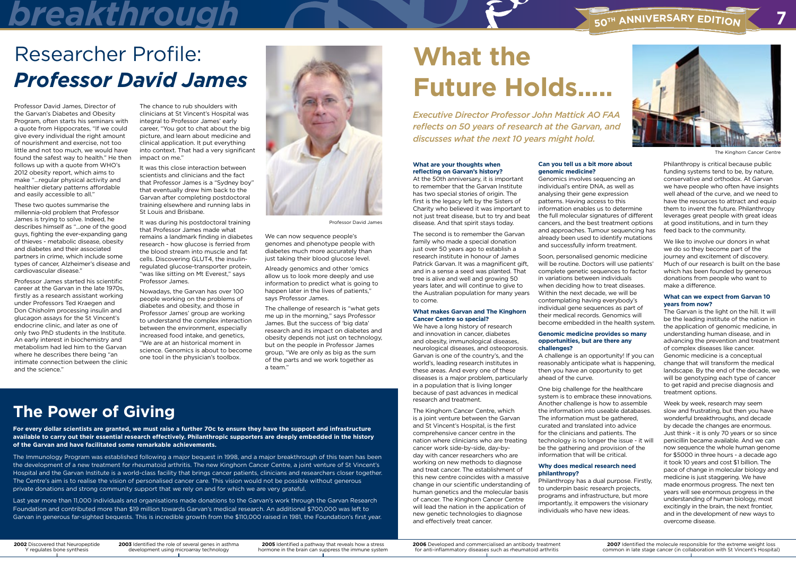### **The Power of Giving**

**For every dollar scientists are granted, we must raise a further 70c to ensure they have the support and infrastructure available to carry out their essential research effectively. Philanthropic supporters are deeply embedded in the history of the Garvan and have facilitated some remarkable achievements.** 

The Immunology Program was established following a major bequest in 1998, and a major breakthrough of this team has been the development of a new treatment for rheumatoid arthritis. The new Kinghorn Cancer Centre, a joint venture of St Vincent's Hospital and the Garvan Institute is a world-class facility that brings cancer patients, clinicians and researchers closer together. The Centre's aim is to realise the vision of personalised cancer care. This vision would not be possible without generous private donations and strong community support that we rely on and for which we are very grateful.

Last year more than 11,000 individuals and organisations made donations to the Garvan's work through the Garvan Research Foundation and contributed more than \$19 million towards Garvan's medical research. An additional \$700,000 was left to Garvan in generous far-sighted bequests. This is incredible growth from the \$110,000 raised in 1981, the Foundation's first year.

## **h a** *<b>h Edi***n** *<b>h Edi***n** *s***<sub>50<sup>TH</sup> ANNIVERSARY EDITION**</sub>



### Researcher Profile: *Professor David James*



Professor David James

The Kinghorn Cancer Centre

#### **What are your thoughts when reflecting on Garvan's history?**

At the 50th anniversary, it is important to remember that the Garvan Institute has two special stories of origin. The first is the legacy left by the Sisters of Charity who believed it was important to not just treat disease, but to try and beat disease. And that spirit stays today.

The second is to remember the Garvan family who made a special donation just over 50 years ago to establish a research institute in honour of James Patrick Garvan. It was a magnificent gift, and in a sense a seed was planted. That tree is alive and well and growing 50 years later, and will continue to give to the Australian population for many years to come.

#### **What makes Garvan and The Kinghorn Cancer Centre so special?**

We have a long history of research and innovation in cancer, diabetes and obesity, immunological diseases, neurological diseases, and osteoporosis. Garvan is one of the country's, and the world's, leading research institutes in these areas. And every one of these diseases is a major problem, particularly in a population that is living longer because of past advances in medical research and treatment.

The Kinghorn Cancer Centre, which is a joint venture between the Garvan and St Vincent's Hospital, is the first comprehensive cancer centre in the nation where clinicians who are treating cancer work side-by-side, day-byday with cancer researchers who are working on new methods to diagnose and treat cancer. The establishment of this new centre coincides with a massive change in our scientific understanding of human genetics and the molecular basis of cancer. The Kinghorn Cancer Centre will lead the nation in the application of new genetic technologies to diagnose and effectively treat cancer.

### **Can you tell us a bit more about genomic medicine?**

Genomics involves sequencing an individual's entire DNA, as well as analysing their gene expression patterns. Having access to this information enables us to determine the full molecular signatures of different cancers, and the best treatment options and approaches. Tumour sequencing has already been used to identify mutations and successfully inform treatment.

Soon, personalised genomic medicine will be routine. Doctors will use patients' complete genetic sequences to factor in variations between individuals when deciding how to treat diseases. Within the next decade, we will be contemplating having everybody's individual gene sequences as part of their medical records. Genomics will become embedded in the health system.

#### **Genomic medicine provides so many opportunities, but are there any challenges?**

A challenge is an opportunity! If you can reasonably anticipate what is happening, then you have an opportunity to get ahead of the curve.

One big challenge for the healthcare system is to embrace these innovations. Another challenge is how to assemble the information into useable databases. The information must be gathered, curated and translated into advice for the clinicians and patients. The technology is no longer the issue - it will be the gathering and provision of the information that will be critical.

#### **Why does medical research need philanthropy?**

Philanthropy has a dual purpose. Firstly, to underpin basic research projects, programs and infrastructure, but more importantly, it empowers the visionary individuals who have new ideas.

We can now sequence people's genomes and phenotype people with diabetes much more accurately than just taking their blood glucose level.

Philanthropy is critical because public funding systems tend to be, by nature, conservative and orthodox. At Garvan we have people who often have insights well ahead of the curve, and we need to have the resources to attract and equip them to invent the future. Philanthropy leverages great people with great ideas at good institutions, and in turn they feed back to the community.

We like to involve our donors in what we do so they become part of the journey and excitement of discovery. Much of our research is built on the base which has been founded by generous donations from people who want to make a difference.

#### **What can we expect from Garvan 10 years from now?**

The Garvan is the light on the hill. It will be the leading institute of the nation in the application of genomic medicine, in understanding human disease, and in advancing the prevention and treatment of complex diseases like cancer. Genomic medicine is a conceptual change that will transform the medical landscape. By the end of the decade, we will be genotyping each type of cancer to get rapid and precise diagnosis and treatment options.

Week by week, research may seem slow and frustrating, but then you have wonderful breakthroughs, and decade by decade the changes are enormous. Just think - it is only 70 years or so since penicillin became available. And we can now sequence the whole human genome for \$5000 in three hours - a decade ago it took 10 years and cost \$1 billion. The pace of change in molecular biology and medicine is just staggering. We have made enormous progress. The next ten years will see enormous progress in the understanding of human biology, most excitingly in the brain, the next frontier, and in the development of new ways to overcome disease.

### **What the Future Holds.....**

*Executive Director Professor John Mattick AO FAA reflects on 50 years of research at the Garvan, and discusses what the next 10 years might hold.* 

**2002** Discovered that Neuropeptide Y regulates bone synthesis

**2005** Identified a pathway that reveals how a stress hormone in the brain can suppress the immune system

**2006** Developed and commercialised an antibody treatment for anti-inflammatory diseases such as rheumatoid arthritis





**2003** Identified the role of several genes in asthma development using microarray technology

Professor David James, Director of the Garvan's Diabetes and Obesity Program, often starts his seminars with a quote from Hippocrates, "If we could give every individual the right amount of nourishment and exercise, not too little and not too much, we would have found the safest way to health." He then follows up with a quote from WHO's 2012 obesity report, which aims to make "...regular physical activity and healthier dietary patterns affordable and easily accessible to all."

These two quotes summarise the millennia-old problem that Professor James is trying to solve. Indeed, he describes himself as "...one of the good guys, fighting the ever-expanding gang of thieves - metabolic disease, obesity and diabetes and their associated partners in crime, which include some types of cancer, Alzheimer's disease and cardiovascular disease."

Professor James started his scientific career at the Garvan in the late 1970s, firstly as a research assistant working under Professors Ted Kraegen and Don Chisholm processing insulin and glucagon assays for the St Vincent's endocrine clinic, and later as one of only two PhD students in the Institute. An early interest in biochemistry and metabolism had led him to the Garvan where he describes there being "an intimate connection between the clinic and the science."

The chance to rub shoulders with clinicians at St Vincent's Hospital was integral to Professor James' early career, "You got to chat about the big picture, and learn about medicine and clinical application. It put everything into context. That had a very significant impact on me."

It was this close interaction between scientists and clinicians and the fact that Professor James is a "Sydney boy" that eventually drew him back to the Garvan after completing postdoctoral training elsewhere and running labs in St Louis and Brisbane.

It was during his postdoctoral training that Professor James made what remains a landmark finding in diabetes research - how glucose is ferried from the blood stream into muscle and fat cells. Discovering GLUT4, the insulinregulated glucose-transporter protein, "was like sitting on Mt Everest," says Professor James.

Nowadays, the Garvan has over 100 people working on the problems of diabetes and obesity, and those in Professor James' group are working to understand the complex interaction between the environment, especially increased food intake, and genetics, "We are at an historical moment in science. Genomics is about to become one tool in the physician's toolbox.

Already genomics and other 'omics allow us to look more deeply and use information to predict what is going to happen later in the lives of patients," says Professor James.

The challenge of research is "what gets me up in the morning," says Professor James. But the success of 'big data' research and its impact on diabetes and obesity depends not just on technology, but on the people in Professor James group, "We are only as big as the sum of the parts and we work together as a team."